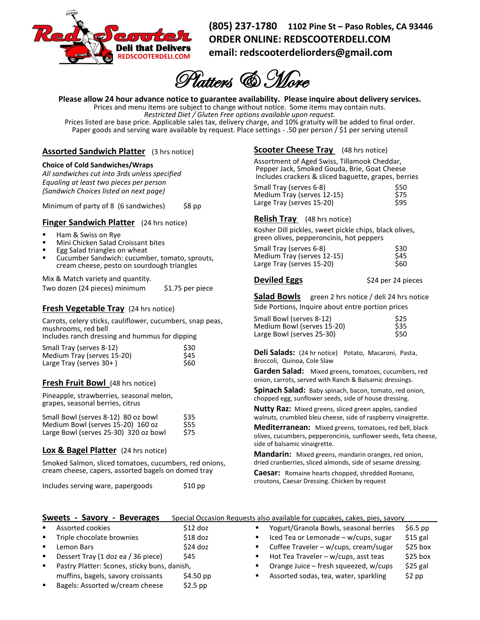

**(805) 237-1780 1102 Pine St – Paso Robles, CA 93446 ORDER ONLINE: REDSCOOTERDELI.COM email: [redscooterdeliorders@gmail.com](mailto:redscooterdeliorders@gmail.com)**

Platters & More

**Please allow 24 hour advance notice to guarantee availability. Please inquire about delivery services.**

Prices and menu items are subject to change without notice. Some items may contain nuts.

*Restricted Diet / Gluten Free options available upon request.*

Prices listed are base price. Applicable sales tax, delivery charge, and 10% gratuity will be added to final order. Paper goods and serving ware available by request. Place settings - .50 per person / \$1 per serving utensil

# **Assorted Sandwich Platter** (3 hrs notice)

### **Choice of Cold Sandwiches/Wraps**

*All sandwiches cut into 3rds unless specified Equaling at least two pieces per person (Sandwich Choices listed on next page)* 

Minimum of party of 8 (6 sandwiches) \$8 pp

## **Finger Sandwich Platter** (24 hrs notice)

### Ham & Swiss on Rye

- Mini Chicken Salad Croissant bites
- Egg Salad triangles on wheat
- Cucumber Sandwich: cucumber, tomato, sprouts, cream cheese, pesto on sourdough triangles

Mix & Match variety and quantity.

Two dozen (24 pieces) minimum \$1.75 per piece

## **Fresh Vegetable Tray** (24 hrs notice)

Carrots, celery sticks, cauliflower, cucumbers, snap peas, mushrooms, red bell

Includes ranch dressing and hummus for dipping

| Small Tray (serves 8-12)   | \$30 |  |
|----------------------------|------|--|
| Medium Tray (serves 15-20) | \$45 |  |
| Large Tray (serves $30+$ ) | \$60 |  |

## **Fresh Fruit Bowl** (48 hrs notice)

Pineapple, strawberries, seasonal melon, grapes, seasonal berries, citrus

| Small Bowl (serves 8-12) 80 oz bowl   | \$35       |
|---------------------------------------|------------|
| Medium Bowl (serves 15-20) 160 oz     | <b>S55</b> |
| Large Bowl (serves 25-30) 320 oz bowl | \$75       |

## **Lox & Bagel Platter** (24 hrs notice)

Smoked Salmon, sliced tomatoes, cucumbers, red onions, cream cheese, capers, assorted bagels on domed tray

| Includes serving ware, papergoods | $$10$ pp |
|-----------------------------------|----------|
|-----------------------------------|----------|

## **Scooter Cheese Tray** (48 hrs notice)

Assortment of Aged Swiss, Tillamook Cheddar, Pepper Jack, Smoked Gouda, Brie, Goat Cheese Includes crackers & sliced baguette, grapes, berries

| Small Tray (serves 6-8)    | \$50       |
|----------------------------|------------|
| Medium Tray (serves 12-15) | \$75       |
| Large Tray (serves 15-20)  | <b>S95</b> |

## **Relish Tray** (48 hrs notice)

Kosher Dill pickles, sweet pickle chips, black olives, green olives, pepperoncinis, hot peppers

| Small Tray (serves 6-8)    | \$30       |
|----------------------------|------------|
| Medium Tray (serves 12-15) | <b>S45</b> |
| Large Tray (serves 15-20)  | \$60       |

**Deviled Eggs** \$24 per 24 pieces

Salad **Bowls** green 2 hrs notice / deli 24 hrs notice Side Portions, Inquire about entre portion prices

| Small Bowl (serves 8-12)   | \$25 |
|----------------------------|------|
| Medium Bowl (serves 15-20) | \$35 |
| Large Bowl (serves 25-30)  | \$50 |

**Deli Salads:** (24 hr notice)Potato, Macaroni, Pasta, Broccoli, Quinoa, Cole Slaw

**Garden Salad:** Mixed greens, tomatoes, cucumbers, red onion, carrots, served with Ranch & Balsamic dressings.

**Spinach Salad:** Baby spinach, bacon, tomato, red onion, chopped egg, sunflower seeds, side of house dressing.

**Nutty Raz:** Mixed greens, sliced green apples, candied walnuts, crumbled bleu cheese, side of raspberry vinaigrette.

**Mediterranean:** Mixed greens, tomatoes, red bell, black olives, cucumbers, pepperoncinis, sunflower seeds, feta cheese, side of balsamic vinaigrette.

**Mandarin:** Mixed greens, mandarin oranges, red onion, dried cranberries, sliced almonds, side of sesame dressing.

**Caesar:** Romaine hearts chopped, shredded Romano, croutons, Caesar Dressing. Chicken by request

| Sweets - Savory - Beverages |                                              |            | Special Occasion Requests also available for cupcakes, cakes, pies, savory |           |
|-----------------------------|----------------------------------------------|------------|----------------------------------------------------------------------------|-----------|
| $\blacksquare$              | Assorted cookies                             | $$12$ doz  | Yogurt/Granola Bowls, seasonal berries                                     | $$6.5$ pp |
| $\mathbf{H}^{\text{max}}$   | Triple chocolate brownies                    | $$18$ doz  | Iced Tea or Lemonade - w/cups, sugar                                       | $$15$ gal |
| $\blacksquare$              | Lemon Bars                                   | $$24$ doz  | Coffee Traveler - w/cups, cream/sugar                                      | $$25$ box |
| $\mathbf{H}^{\prime}$ .     | Dessert Tray (1 doz ea / 36 piece)           | \$45       | Hot Tea Traveler - w/cups, asst teas                                       | $$25$ box |
| $\blacksquare$              | Pastry Platter: Scones, sticky buns, danish, |            | Orange Juice - fresh squeezed, w/cups                                      | $$25$ gal |
|                             | muffins, bagels, savory croissants           | $$4.50$ pp | Assorted sodas, tea, water, sparkling                                      | $$2$ pp   |
| $\blacksquare$              | Bagels: Assorted w/cream cheese              | $$2.5$ pp  |                                                                            |           |